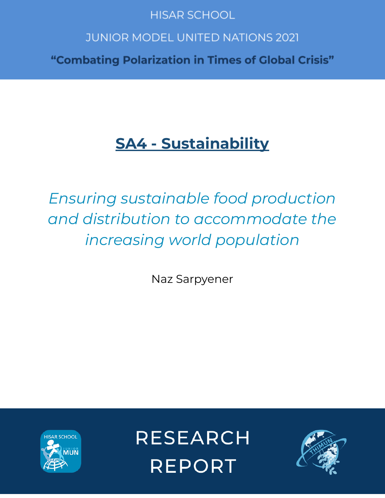# **HISAR SCHOOL**

# **JUNIOR MODEL UNITED NATIONS 2021**

"Combating Polarization in Times of Global Crisis"

# **SA4 - Sustainability**

*Ensuring sustainable food production and distribution to accommodate the increasing world population*

Naz Sarpyener



**RESEARCH REPORT** 

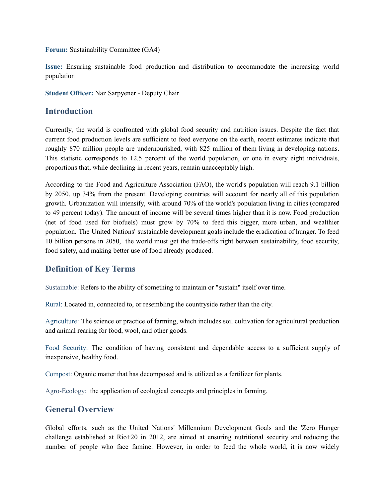**Forum:** Sustainability Committee (GA4)

**Issue:** Ensuring sustainable food production and distribution to accommodate the increasing world population

**Student Officer:** Naz Sarpyener - Deputy Chair

#### **Introduction**

Currently, the world is confronted with global food security and nutrition issues. Despite the fact that current food production levels are sufficient to feed everyone on the earth, recent estimates indicate that roughly 870 million people are undernourished, with 825 million of them living in developing nations. This statistic corresponds to 12.5 percent of the world population, or one in every eight individuals, proportions that, while declining in recent years, remain unacceptably high.

According to the Food and Agriculture Association (FAO), the world's population will reach 9.1 billion by 2050, up 34% from the present. Developing countries will account for nearly all of this population growth. Urbanization will intensify, with around 70% of the world's population living in cities (compared to 49 percent today). The amount of income will be several times higher than it is now. Food production (net of food used for biofuels) must grow by 70% to feed this bigger, more urban, and wealthier population. The United Nations' sustainable development goals include the eradication of hunger. To feed 10 billion persons in 2050, the world must get the trade-offs right between sustainability, food security, food safety, and making better use of food already produced.

# **Definition of Key Terms**

Sustainable: Refers to the ability of something to maintain or "sustain" itself over time.

Rural: Located in, connected to, or resembling the countryside rather than the city.

Agriculture: The science or practice of farming, which includes soil cultivation for agricultural production and animal rearing for food, wool, and other goods.

Food Security: The condition of having consistent and dependable access to a sufficient supply of inexpensive, healthy food.

Compost: Organic matter that has decomposed and is utilized as a fertilizer for plants.

Agro-Ecology: the application of ecological concepts and principles in farming.

# **General Overview**

Global efforts, such as the United Nations' Millennium Development Goals and the 'Zero Hunger challenge established at Rio+20 in 2012, are aimed at ensuring nutritional security and reducing the number of people who face famine. However, in order to feed the whole world, it is now widely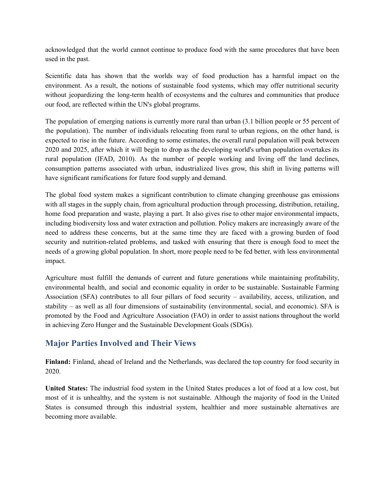acknowledged that the world cannot continue to produce food with the same procedures that have been used in the past.

Scientific data has shown that the worlds way of food production has a harmful impact on the environment. As a result, the notions of sustainable food systems, which may offer nutritional security without jeopardizing the long-term health of ecosystems and the cultures and communities that produce our food, are reflected within the UN's global programs.

The population of emerging nations is currently more rural than urban (3.1 billion people or 55 percent of the population). The number of individuals relocating from rural to urban regions, on the other hand, is expected to rise in the future. According to some estimates, the overall rural population will peak between 2020 and 2025, after which it will begin to drop as the developing world's urban population overtakes its rural population (IFAD, 2010). As the number of people working and living off the land declines, consumption patterns associated with urban, industrialized lives grow, this shift in living patterns will have significant ramifications for future food supply and demand.

The global food system makes a significant contribution to climate changing greenhouse gas emissions with all stages in the supply chain, from agricultural production through processing, distribution, retailing, home food preparation and waste, playing a part. It also gives rise to other major environmental impacts, including biodiversity loss and water extraction and pollution. Policy makers are increasingly aware of the need to address these concerns, but at the same time they are faced with a growing burden of food security and nutrition-related problems, and tasked with ensuring that there is enough food to meet the needs of a growing global population. In short, more people need to be fed better, with less environmental impact.

Agriculture must fulfill the demands of current and future generations while maintaining profitability, environmental health, and social and economic equality in order to be sustainable. Sustainable Farming Association (SFA) contributes to all four pillars of food security – availability, access, utilization, and stability – as well as all four dimensions of sustainability (environmental, social, and economic). SFA is promoted by the Food and Agriculture Association (FAO) in order to assist nations throughout the world in achieving Zero Hunger and the Sustainable Development Goals (SDGs).

# **Major Parties Involved and Their Views**

**Finland:** Finland, ahead of Ireland and the Netherlands, was declared the top country for food security in 2020.

**United States:** The industrial food system in the United States produces a lot of food at a low cost, but most of it is unhealthy, and the system is not sustainable. Although the majority of food in the United States is consumed through this industrial system, healthier and more sustainable alternatives are becoming more available.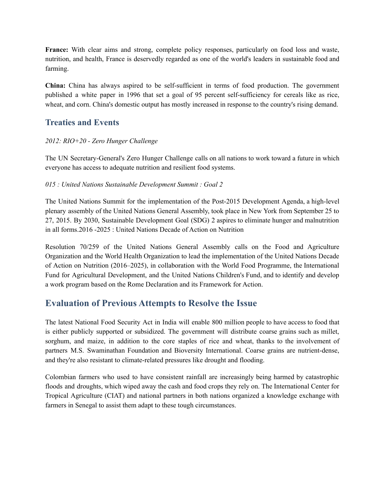**France:** With clear aims and strong, complete policy responses, particularly on food loss and waste, nutrition, and health, France is deservedly regarded as one of the world's leaders in sustainable food and farming.

**China:** China has always aspired to be self-sufficient in terms of food production. The government published a white paper in 1996 that set a goal of 95 percent self-sufficiency for cereals like as rice, wheat, and corn. China's domestic output has mostly increased in response to the country's rising demand.

# **Treaties and Events**

#### *2012: RIO+20 - Zero Hunger Challenge*

The UN Secretary-General's Zero Hunger Challenge calls on all nations to work toward a future in which everyone has access to adequate nutrition and resilient food systems.

#### *015 : United Nations Sustainable Development Summit : Goal 2*

The United Nations Summit for the implementation of the Post-2015 Development Agenda, a high-level plenary assembly of the United Nations General Assembly, took place in New York from September 25 to 27, 2015. By 2030, Sustainable Development Goal (SDG) 2 aspires to eliminate hunger and malnutrition in all forms.2016 -2025 : United Nations Decade of Action on Nutrition

Resolution 70/259 of the United Nations General Assembly calls on the Food and Agriculture Organization and the World Health Organization to lead the implementation of the United Nations Decade of Action on Nutrition (2016–2025), in collaboration with the World Food Programme, the International Fund for Agricultural Development, and the United Nations Children's Fund, and to identify and develop a work program based on the Rome Declaration and its Framework for Action.

# **Evaluation of Previous Attempts to Resolve the Issue**

The latest National Food Security Act in India will enable 800 million people to have access to food that is either publicly supported or subsidized. The government will distribute coarse grains such as millet, sorghum, and maize, in addition to the core staples of rice and wheat, thanks to the involvement of partners M.S. Swaminathan Foundation and Bioversity International. Coarse grains are nutrient-dense, and they're also resistant to climate-related pressures like drought and flooding.

Colombian farmers who used to have consistent rainfall are increasingly being harmed by catastrophic floods and droughts, which wiped away the cash and food crops they rely on. The International Center for Tropical Agriculture (CIAT) and national partners in both nations organized a knowledge exchange with farmers in Senegal to assist them adapt to these tough circumstances.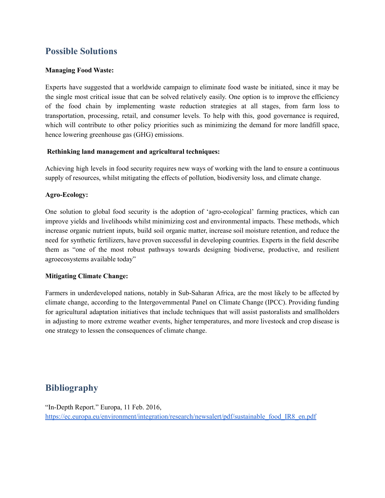# **Possible Solutions**

#### **Managing Food Waste:**

Experts have suggested that a worldwide campaign to eliminate food waste be initiated, since it may be the single most critical issue that can be solved relatively easily. One option is to improve the efficiency of the food chain by implementing waste reduction strategies at all stages, from farm loss to transportation, processing, retail, and consumer levels. To help with this, good governance is required, which will contribute to other policy priorities such as minimizing the demand for more landfill space, hence lowering greenhouse gas (GHG) emissions.

#### **Rethinking land management and agricultural techniques:**

Achieving high levels in food security requires new ways of working with the land to ensure a continuous supply of resources, whilst mitigating the effects of pollution, biodiversity loss, and climate change.

#### **Agro-Ecology:**

One solution to global food security is the adoption of 'agro-ecological' farming practices, which can improve yields and livelihoods whilst minimizing cost and environmental impacts. These methods, which increase organic nutrient inputs, build soil organic matter, increase soil moisture retention, and reduce the need for synthetic fertilizers, have proven successful in developing countries. Experts in the field describe them as "one of the most robust pathways towards designing biodiverse, productive, and resilient agroecosystems available today"

#### **Mitigating Climate Change:**

Farmers in underdeveloped nations, notably in Sub-Saharan Africa, are the most likely to be affected by climate change, according to the Intergovernmental Panel on Climate Change (IPCC). Providing funding for agricultural adaptation initiatives that include techniques that will assist pastoralists and smallholders in adjusting to more extreme weather events, higher temperatures, and more livestock and crop disease is one strategy to lessen the consequences of climate change.

# **Bibliography**

"In-Depth Report." Europa, 11 Feb. 2016, [https://ec.europa.eu/environment/integration/research/newsalert/pdf/sustainable\\_food\\_IR8\\_en.pdf](https://ec.europa.eu/environment/integration/research/newsalert/pdf/sustainable_food_IR8_en.pdf)